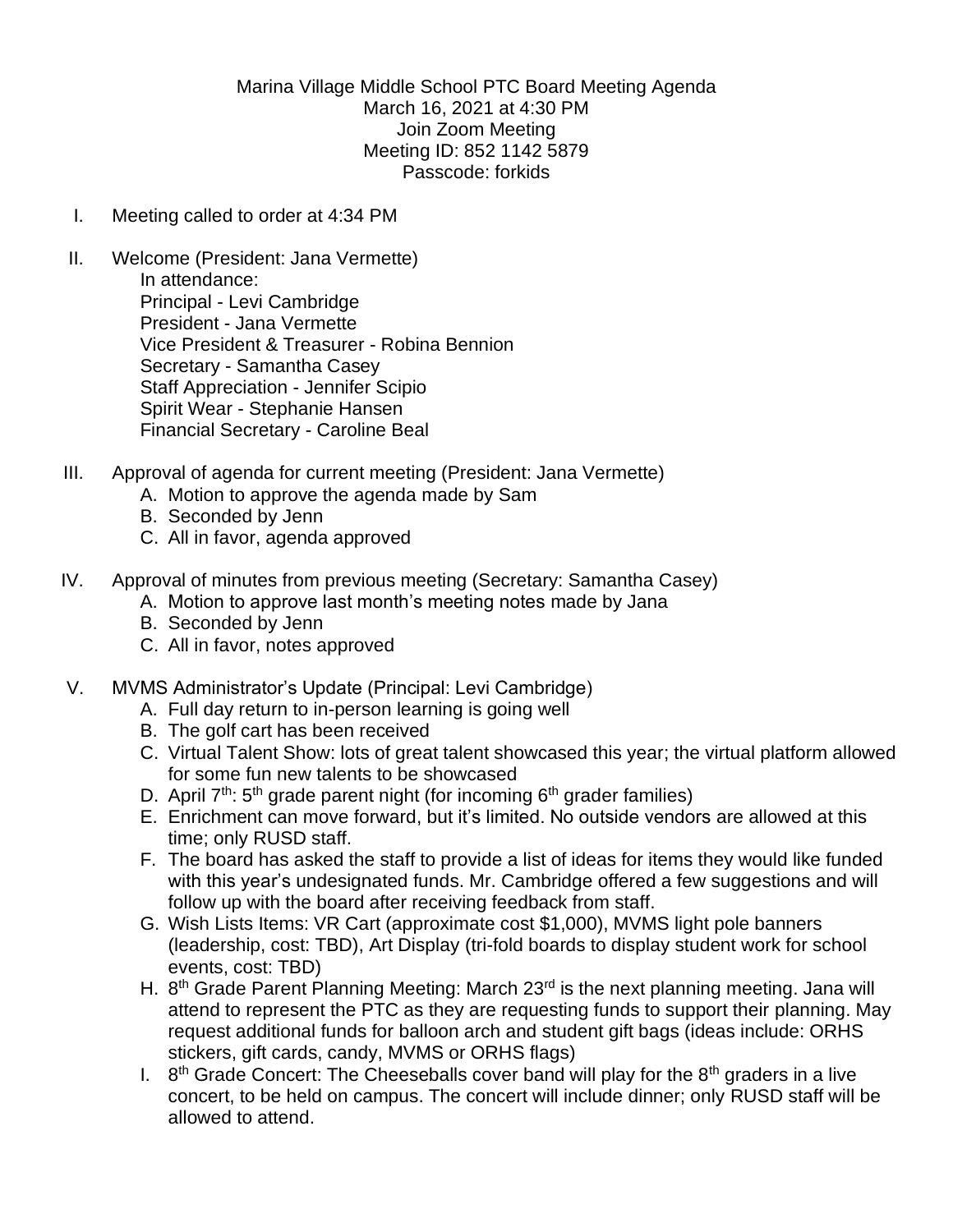Marina Village Middle School PTC Board Meeting Agenda March 16, 2021 at 4:30 PM Join Zoom Meeting Meeting ID: 852 1142 5879 Passcode: forkids

- I. Meeting called to order at 4:34 PM
- II. Welcome (President: Jana Vermette) In attendance: Principal - Levi Cambridge President - Jana Vermette Vice President & Treasurer - Robina Bennion Secretary - Samantha Casey Staff Appreciation - Jennifer Scipio Spirit Wear - Stephanie Hansen Financial Secretary - Caroline Beal
- III. Approval of agenda for current meeting (President: Jana Vermette)
	- A. Motion to approve the agenda made by Sam
	- B. Seconded by Jenn
	- C. All in favor, agenda approved
- IV. Approval of minutes from previous meeting (Secretary: Samantha Casey)
	- A. Motion to approve last month's meeting notes made by Jana
	- B. Seconded by Jenn
	- C. All in favor, notes approved
- V. MVMS Administrator's Update (Principal: Levi Cambridge)
	- A. Full day return to in-person learning is going well
	- B. The golf cart has been received
	- C. Virtual Talent Show: lots of great talent showcased this year; the virtual platform allowed for some fun new talents to be showcased
	- D. April  $7<sup>th</sup>$ : 5<sup>th</sup> grade parent night (for incoming  $6<sup>th</sup>$  grader families)
	- E. Enrichment can move forward, but it's limited. No outside vendors are allowed at this time; only RUSD staff.
	- F. The board has asked the staff to provide a list of ideas for items they would like funded with this year's undesignated funds. Mr. Cambridge offered a few suggestions and will follow up with the board after receiving feedback from staff.
	- G. Wish Lists Items: VR Cart (approximate cost \$1,000), MVMS light pole banners (leadership, cost: TBD), Art Display (tri-fold boards to display student work for school events, cost: TBD)
	- H. 8<sup>th</sup> Grade Parent Planning Meeting: March 23<sup>rd</sup> is the next planning meeting. Jana will attend to represent the PTC as they are requesting funds to support their planning. May request additional funds for balloon arch and student gift bags (ideas include: ORHS stickers, gift cards, candy, MVMS or ORHS flags)
	- I.  $8<sup>th</sup>$  Grade Concert: The Cheeseballs cover band will play for the  $8<sup>th</sup>$  graders in a live concert, to be held on campus. The concert will include dinner; only RUSD staff will be allowed to attend.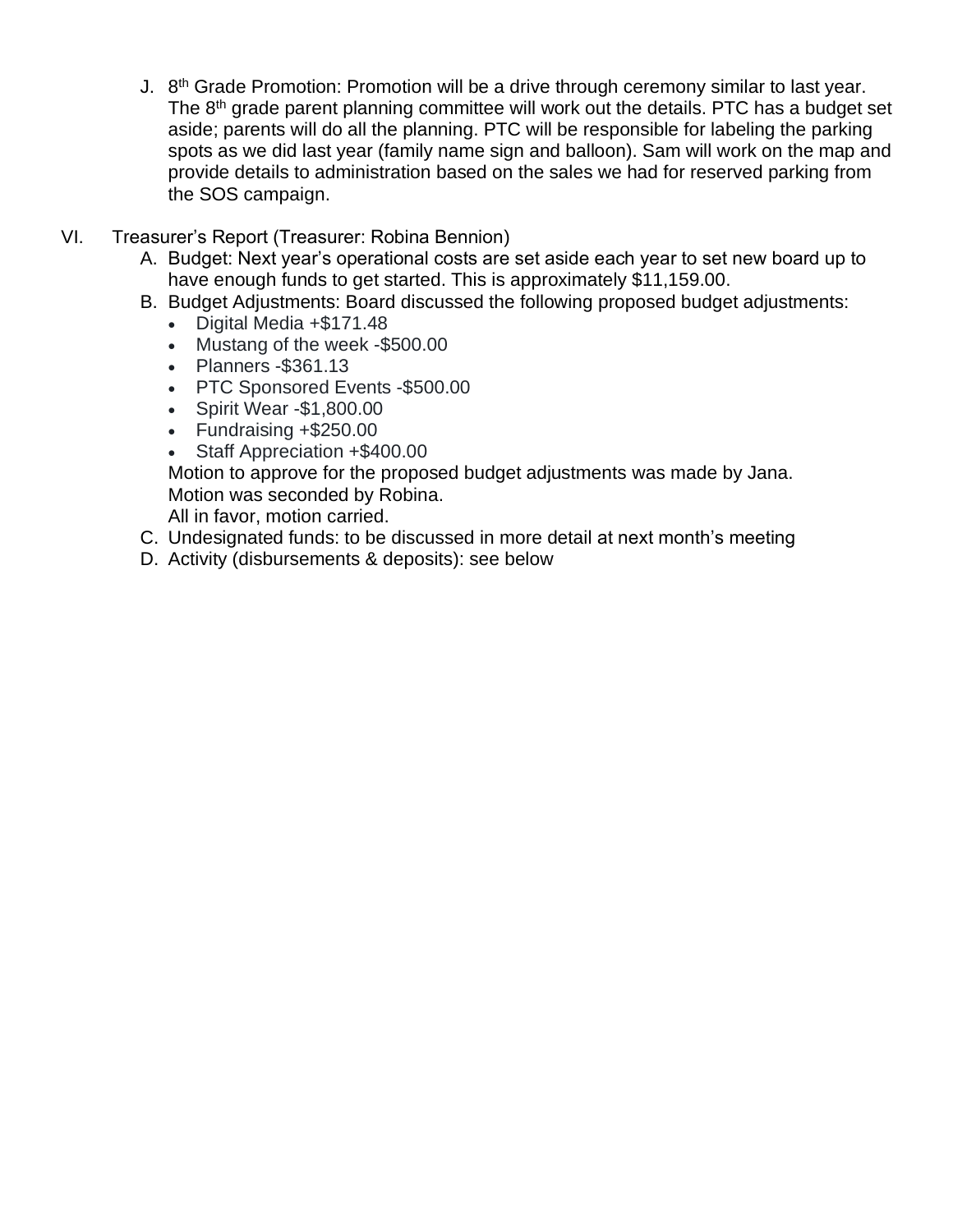- J. 8<sup>th</sup> Grade Promotion: Promotion will be a drive through ceremony similar to last year. The 8<sup>th</sup> grade parent planning committee will work out the details. PTC has a budget set aside; parents will do all the planning. PTC will be responsible for labeling the parking spots as we did last year (family name sign and balloon). Sam will work on the map and provide details to administration based on the sales we had for reserved parking from the SOS campaign.
- VI. Treasurer's Report (Treasurer: Robina Bennion)
	- A. Budget: Next year's operational costs are set aside each year to set new board up to have enough funds to get started. This is approximately \$11,159.00.
	- B. Budget Adjustments: Board discussed the following proposed budget adjustments:
		- Digital Media +\$171.48
		- Mustang of the week -\$500.00
		- Planners -\$361.13
		- PTC Sponsored Events -\$500.00
		- Spirit Wear -\$1,800.00
		- Fundraising +\$250.00
		- Staff Appreciation +\$400.00

Motion to approve for the proposed budget adjustments was made by Jana. Motion was seconded by Robina.

All in favor, motion carried.

- C. Undesignated funds: to be discussed in more detail at next month's meeting
- D. Activity (disbursements & deposits): see below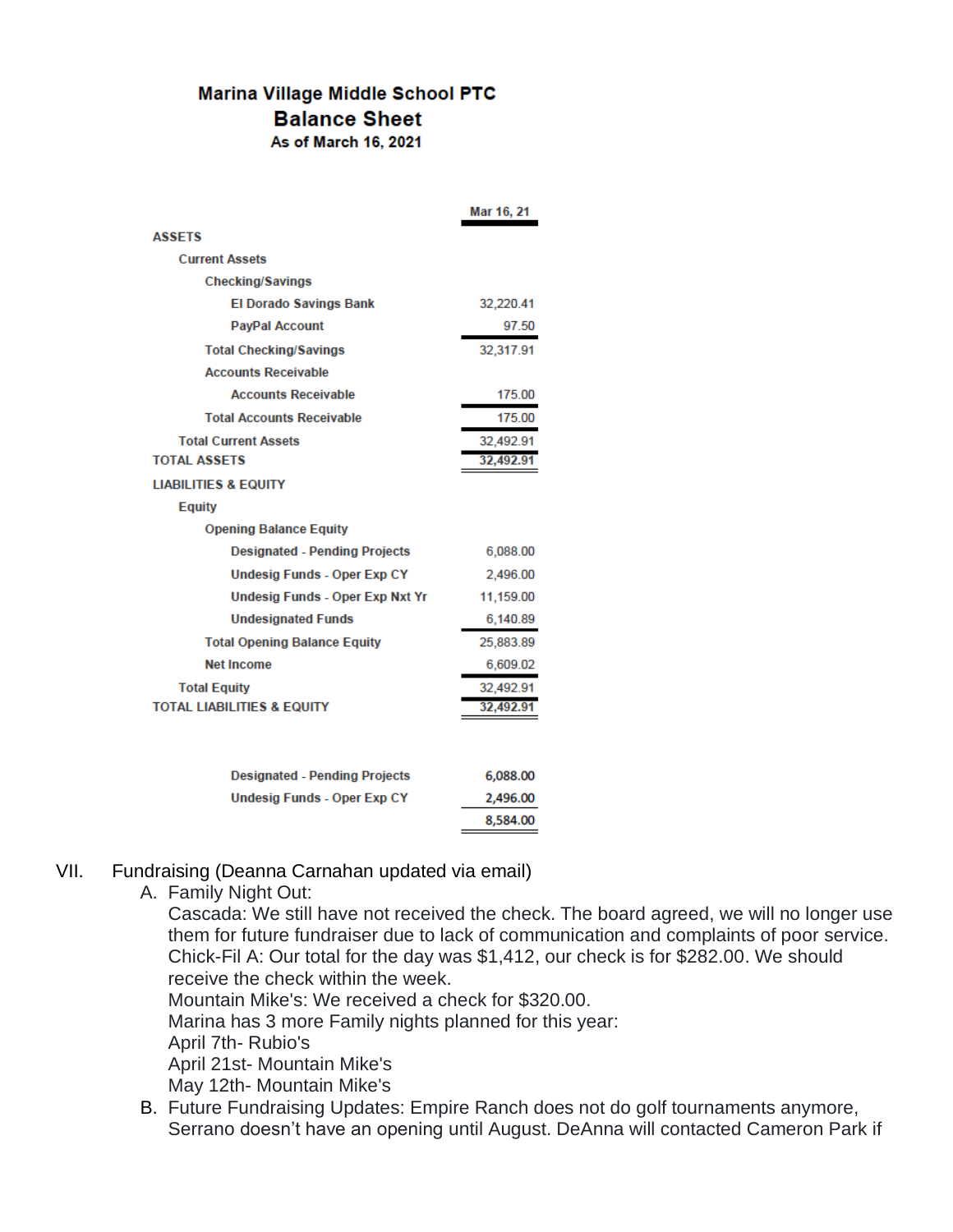## **Marina Village Middle School PTC Balance Sheet**

As of March 16, 2021

|                                       | Mar 16, 21 |
|---------------------------------------|------------|
| <b>ASSETS</b>                         |            |
| <b>Current Assets</b>                 |            |
| <b>Checking/Savings</b>               |            |
| <b>El Dorado Savings Bank</b>         | 32.220.41  |
| <b>PayPal Account</b>                 | 97.50      |
| <b>Total Checking/Savings</b>         | 32,317.91  |
| <b>Accounts Receivable</b>            |            |
| <b>Accounts Receivable</b>            | 175.00     |
| <b>Total Accounts Receivable</b>      | 175.00     |
| <b>Total Current Assets</b>           | 32,492.91  |
| <b>TOTAL ASSETS</b>                   | 32,492.91  |
| <b>LIABILITIES &amp; EQUITY</b>       |            |
| <b>Equity</b>                         |            |
| <b>Opening Balance Equity</b>         |            |
| <b>Designated - Pending Projects</b>  | 6,088.00   |
| <b>Undesig Funds - Oper Exp CY</b>    | 2,496.00   |
| Undesig Funds - Oper Exp Nxt Yr       | 11,159.00  |
| <b>Undesignated Funds</b>             | 6,140.89   |
| <b>Total Opening Balance Equity</b>   | 25,883.89  |
| <b>Net Income</b>                     | 6,609.02   |
| <b>Total Equity</b>                   | 32,492.91  |
| <b>TOTAL LIABILITIES &amp; EQUITY</b> | 32,492.91  |
|                                       |            |
| <b>Designated - Pending Projects</b>  | 6,088.00   |
| Undesig Funds - Oper Exp CY           | 2,496.00   |

## VII. Fundraising (Deanna Carnahan updated via email)

## A. Family Night Out:

Cascada: We still have not received the check. The board agreed, we will no longer use them for future fundraiser due to lack of communication and complaints of poor service. Chick-Fil A: Our total for the day was \$1,412, our check is for \$282.00. We should receive the check within the week.

8,584.00

Mountain Mike's: We received a check for \$320.00.

Marina has 3 more Family nights planned for this year:

April 7th- Rubio's

April 21st- Mountain Mike's

May 12th- Mountain Mike's

B. Future Fundraising Updates: Empire Ranch does not do golf tournaments anymore, Serrano doesn't have an opening until August. DeAnna will contacted Cameron Park if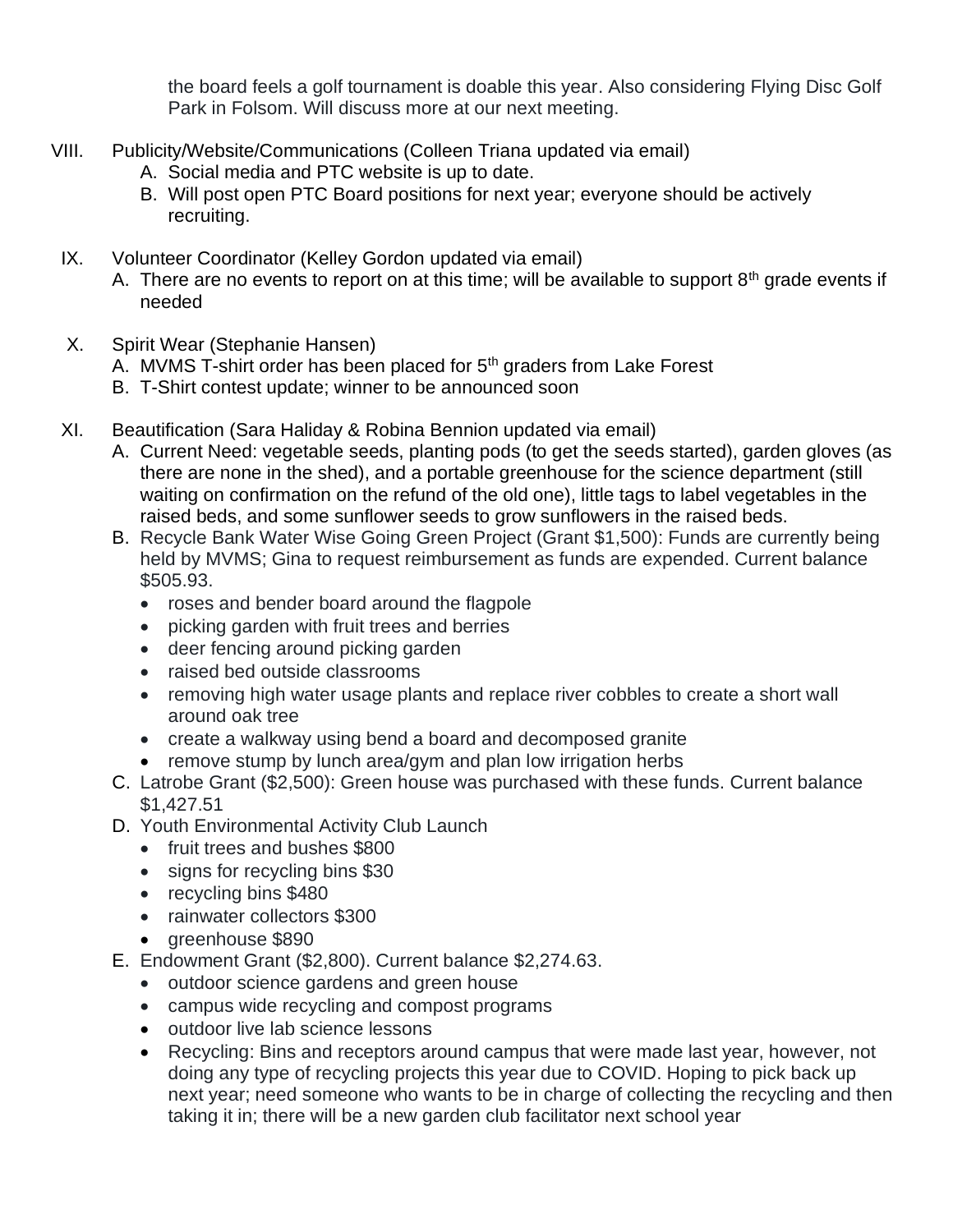the board feels a golf tournament is doable this year. Also considering Flying Disc Golf Park in Folsom. Will discuss more at our next meeting.

- VIII. Publicity/Website/Communications (Colleen Triana updated via email)
	- A. Social media and PTC website is up to date.
	- B. Will post open PTC Board positions for next year; everyone should be actively recruiting.
	- IX. Volunteer Coordinator (Kelley Gordon updated via email)
		- A. There are no events to report on at this time; will be available to support  $8<sup>th</sup>$  grade events if needed
	- X. Spirit Wear (Stephanie Hansen)
		- A. MVMS T-shirt order has been placed for 5<sup>th</sup> graders from Lake Forest
		- B. T-Shirt contest update; winner to be announced soon
	- XI. Beautification (Sara Haliday & Robina Bennion updated via email)
		- A. Current Need: vegetable seeds, planting pods (to get the seeds started), garden gloves (as there are none in the shed), and a portable greenhouse for the science department (still waiting on confirmation on the refund of the old one), little tags to label vegetables in the raised beds, and some sunflower seeds to grow sunflowers in the raised beds.
		- B. Recycle Bank Water Wise Going Green Project (Grant \$1,500): Funds are currently being held by MVMS; Gina to request reimbursement as funds are expended. Current balance \$505.93.
			- roses and bender board around the flagpole
			- picking garden with fruit trees and berries
			- deer fencing around picking garden
			- raised bed outside classrooms
			- removing high water usage plants and replace river cobbles to create a short wall around oak tree
			- create a walkway using bend a board and decomposed granite
			- remove stump by lunch area/gym and plan low irrigation herbs
		- C. Latrobe Grant (\$2,500): Green house was purchased with these funds. Current balance \$1,427.51
		- D. Youth Environmental Activity Club Launch
			- fruit trees and bushes \$800
			- signs for recycling bins \$30
			- recycling bins \$480
			- rainwater collectors \$300
			- greenhouse \$890
		- E. Endowment Grant (\$2,800). Current balance \$2,274.63.
			- outdoor science gardens and green house
			- campus wide recycling and compost programs
			- outdoor live lab science lessons
			- Recycling: Bins and receptors around campus that were made last year, however, not doing any type of recycling projects this year due to COVID. Hoping to pick back up next year; need someone who wants to be in charge of collecting the recycling and then taking it in; there will be a new garden club facilitator next school year